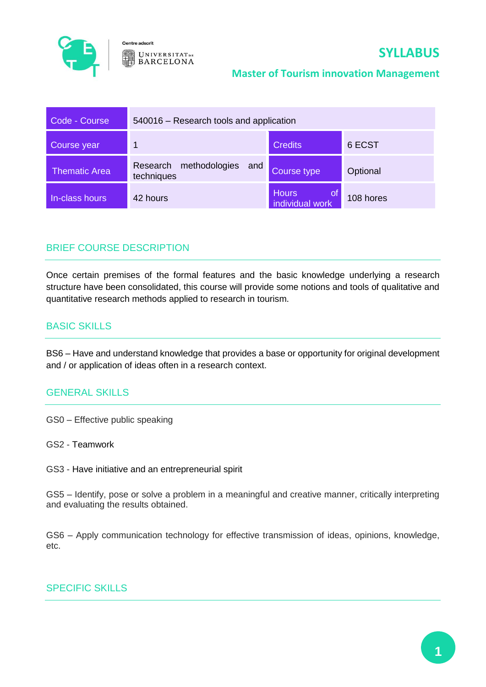

Centre adscrit **UNIVERSITAT**DE **BARCELONA** 

# **SYLLABUS**

### **Master of Tourism innovation Management**

| Code - Course        | 540016 - Research tools and application        |                                       |           |
|----------------------|------------------------------------------------|---------------------------------------|-----------|
| Course year          | 1                                              | <b>Credits</b>                        | 6 ECST    |
| <b>Thematic Area</b> | methodologies<br>Research<br>and<br>techniques | Course type                           | Optional  |
| In-class hours       | 42 hours                                       | <b>Hours</b><br>0t<br>individual work | 108 hores |

## BRIEF COURSE DESCRIPTION

Once certain premises of the formal features and the basic knowledge underlying a research structure have been consolidated, this course will provide some notions and tools of qualitative and quantitative research methods applied to research in tourism.

## BASIC SKILLS

BS6 – Have and understand knowledge that provides a base or opportunity for original development and / or application of ideas often in a research context.

#### GENERAL SKILLS

GS0 – Effective public speaking

GS2 - Teamwork

GS3 - Have initiative and an entrepreneurial spirit

GS5 – Identify, pose or solve a problem in a meaningful and creative manner, critically interpreting and evaluating the results obtained.

GS6 – Apply communication technology for effective transmission of ideas, opinions, knowledge, etc.

## SPECIFIC SKILLS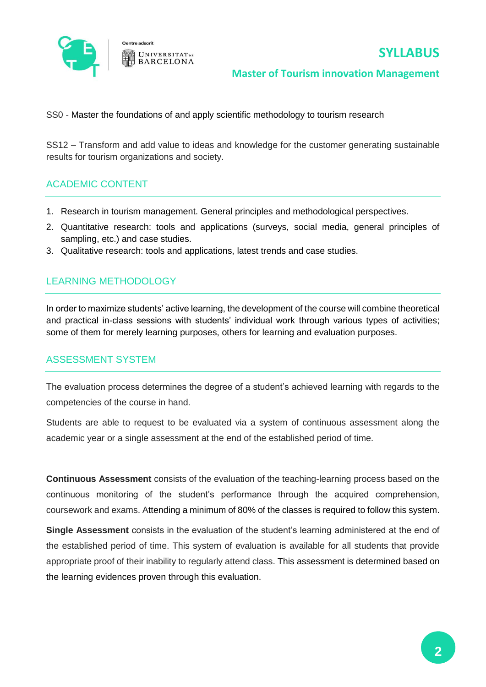

#### **Master of Tourism innovation Management**

SS0 - Master the foundations of and apply scientific methodology to tourism research

SS12 – Transform and add value to ideas and knowledge for the customer generating sustainable results for tourism organizations and society.

## ACADEMIC CONTENT

- 1. Research in tourism management. General principles and methodological perspectives.
- 2. Quantitative research: tools and applications (surveys, social media, general principles of sampling, etc.) and case studies.
- 3. Qualitative research: tools and applications, latest trends and case studies.

## LEARNING METHODOLOGY

In order to maximize students' active learning, the development of the course will combine theoretical and practical in-class sessions with students' individual work through various types of activities; some of them for merely learning purposes, others for learning and evaluation purposes.

#### ASSESSMENT SYSTEM

The evaluation process determines the degree of a student's achieved learning with regards to the competencies of the course in hand.

Students are able to request to be evaluated via a system of continuous assessment along the academic year or a single assessment at the end of the established period of time.

**Continuous Assessment** consists of the evaluation of the teaching-learning process based on the continuous monitoring of the student's performance through the acquired comprehension, coursework and exams. Attending a minimum of 80% of the classes is required to follow this system.

**Single Assessment** consists in the evaluation of the student's learning administered at the end of the established period of time. This system of evaluation is available for all students that provide appropriate proof of their inability to regularly attend class. This assessment is determined based on the learning evidences proven through this evaluation.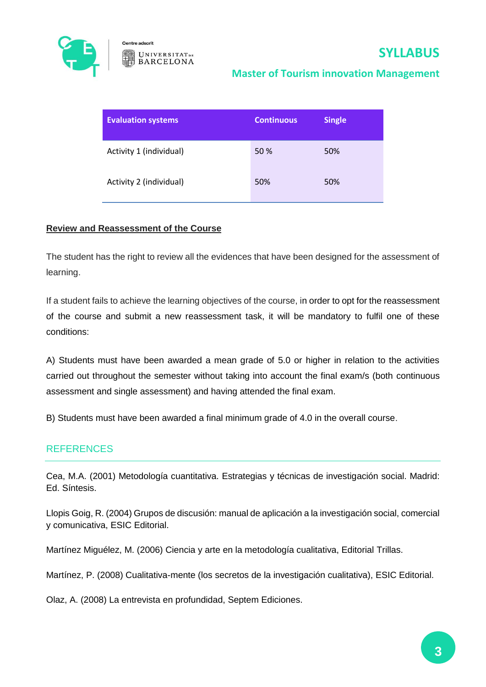

## **Master of Tourism innovation Management**

| <b>Evaluation systems</b> | <b>Continuous</b> | <b>Single</b> |
|---------------------------|-------------------|---------------|
| Activity 1 (individual)   | 50 %              | 50%           |
| Activity 2 (individual)   | 50%               | 50%           |

#### **Review and Reassessment of the Course**

The student has the right to review all the evidences that have been designed for the assessment of learning.

If a student fails to achieve the learning objectives of the course, in order to opt for the reassessment of the course and submit a new reassessment task, it will be mandatory to fulfil one of these conditions:

A) Students must have been awarded a mean grade of 5.0 or higher in relation to the activities carried out throughout the semester without taking into account the final exam/s (both continuous assessment and single assessment) and having attended the final exam.

B) Students must have been awarded a final minimum grade of 4.0 in the overall course.

#### REFERENCES

Cea, M.A. (2001) Metodología cuantitativa. Estrategias y técnicas de investigación social. Madrid: Ed. Síntesis.

Llopis Goig, R. (2004) Grupos de discusión: manual de aplicación a la investigación social, comercial y comunicativa, ESIC Editorial.

Martínez Miguélez, M. (2006) Ciencia y arte en la metodología cualitativa, Editorial Trillas.

Martínez, P. (2008) Cualitativa-mente (los secretos de la investigación cualitativa), ESIC Editorial.

Olaz, A. (2008) La entrevista en profundidad, Septem Ediciones.